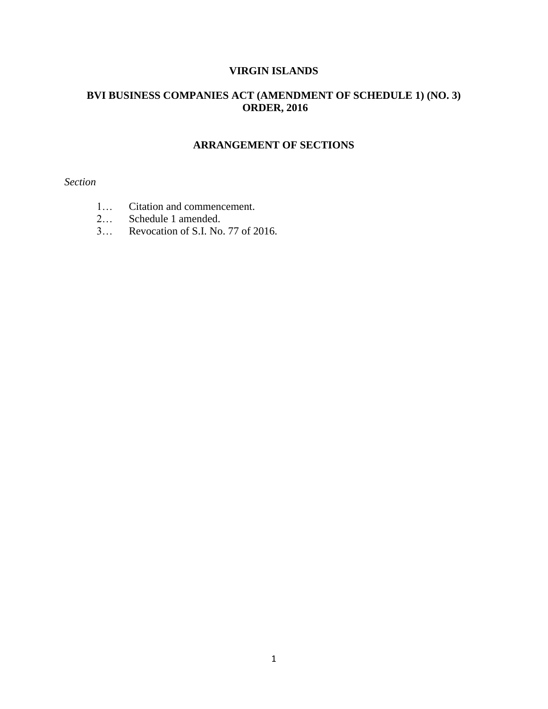# **VIRGIN ISLANDS**

# **BVI BUSINESS COMPANIES ACT (AMENDMENT OF SCHEDULE 1) (NO. 3) ORDER, 2016**

# **ARRANGEMENT OF SECTIONS**

# *Section*

- 1… Citation and commencement.
- 2… Schedule 1 amended.
- 3… Revocation of S.I. No. 77 of 2016.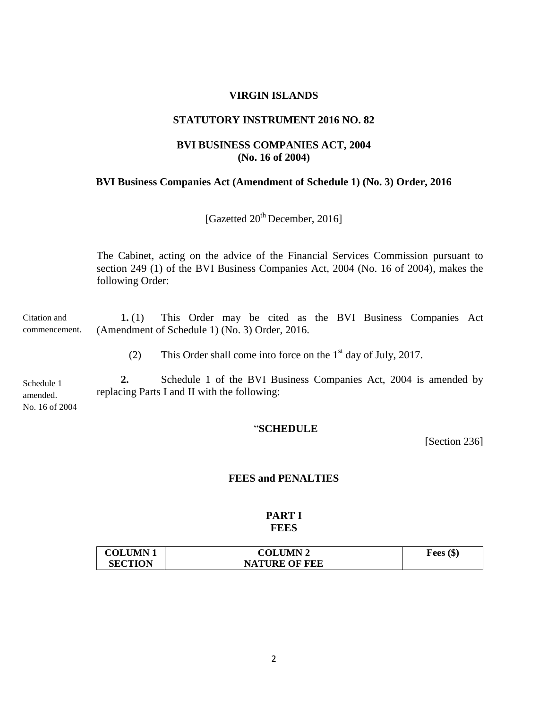## **VIRGIN ISLANDS**

## **STATUTORY INSTRUMENT 2016 NO. 82**

# **BVI BUSINESS COMPANIES ACT, 2004 (No. 16 of 2004)**

### **BVI Business Companies Act (Amendment of Schedule 1) (No. 3) Order, 2016**

[Gazetted  $20^{th}$  December, 2016]

The Cabinet, acting on the advice of the Financial Services Commission pursuant to section 249 (1) of the BVI Business Companies Act, 2004 (No. 16 of 2004), makes the following Order:

**1.** (1) This Order may be cited as the BVI Business Companies Act (Amendment of Schedule 1) (No. 3) Order, 2016. Citation and commencement.

(2) This Order shall come into force on the  $1<sup>st</sup>$  day of July, 2017.

**2.** Schedule 1 of the BVI Business Companies Act, 2004 is amended by replacing Parts I and II with the following: Schedule 1 amended. No. 16 of 2004

# "**SCHEDULE**

[Section 236]

## **FEES and PENALTIES**

## **PART I FEES**

| <b>COLUMN1</b> | <b>COLUMN 2</b>      | Fees $(\$)$ |
|----------------|----------------------|-------------|
| <b>SECTION</b> | <b>NATURE OF FEE</b> |             |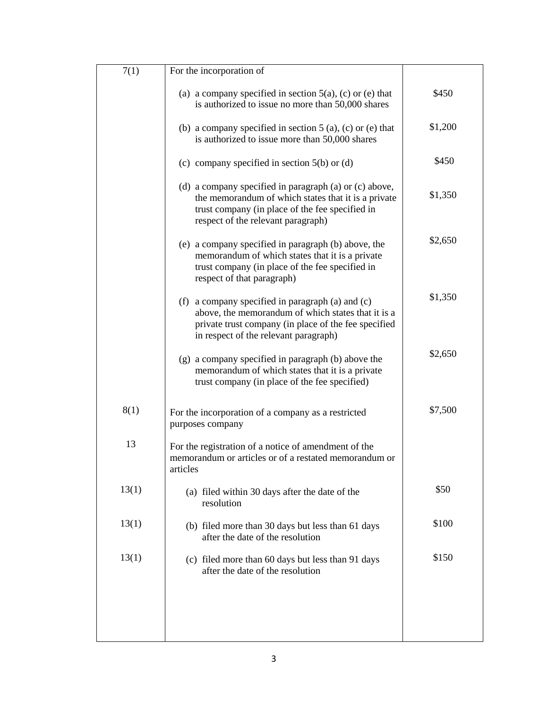| 7(1)  | For the incorporation of                                                                                                                                                                                  |         |
|-------|-----------------------------------------------------------------------------------------------------------------------------------------------------------------------------------------------------------|---------|
|       | (a) a company specified in section $5(a)$ , (c) or (e) that<br>is authorized to issue no more than 50,000 shares                                                                                          | \$450   |
|       | (b) a company specified in section $5(a)$ , (c) or (e) that<br>is authorized to issue more than 50,000 shares                                                                                             | \$1,200 |
|       | (c) company specified in section $5(b)$ or (d)                                                                                                                                                            | \$450   |
|       | (d) a company specified in paragraph (a) or (c) above,<br>the memorandum of which states that it is a private<br>trust company (in place of the fee specified in<br>respect of the relevant paragraph)    | \$1,350 |
|       | (e) a company specified in paragraph (b) above, the<br>memorandum of which states that it is a private<br>trust company (in place of the fee specified in<br>respect of that paragraph)                   | \$2,650 |
|       | (f) a company specified in paragraph (a) and $(c)$<br>above, the memorandum of which states that it is a<br>private trust company (in place of the fee specified<br>in respect of the relevant paragraph) | \$1,350 |
|       | (g) a company specified in paragraph (b) above the<br>memorandum of which states that it is a private<br>trust company (in place of the fee specified)                                                    | \$2,650 |
| 8(1)  | For the incorporation of a company as a restricted<br>purposes company                                                                                                                                    | \$7,500 |
| 13    | For the registration of a notice of amendment of the<br>memorandum or articles or of a restated memorandum or<br>articles                                                                                 |         |
| 13(1) | (a) filed within 30 days after the date of the<br>resolution                                                                                                                                              | \$50    |
| 13(1) | (b) filed more than 30 days but less than 61 days<br>after the date of the resolution                                                                                                                     | \$100   |
| 13(1) | (c) filed more than 60 days but less than 91 days<br>after the date of the resolution                                                                                                                     | \$150   |
|       |                                                                                                                                                                                                           |         |
|       |                                                                                                                                                                                                           |         |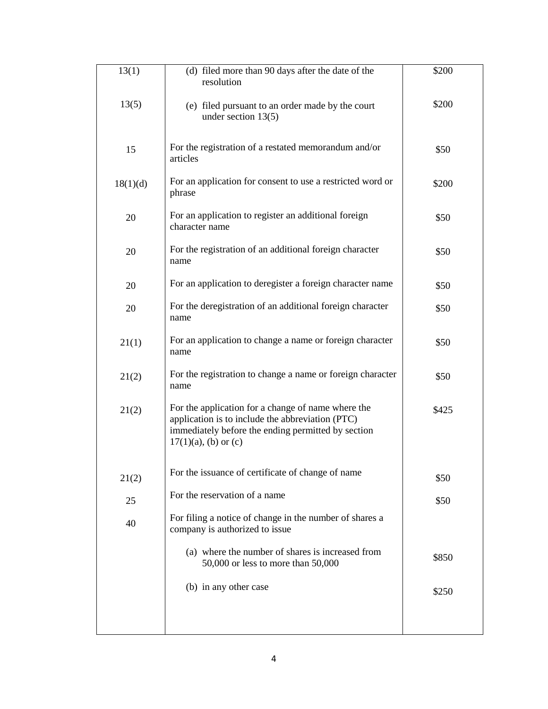| 13(1)    | (d) filed more than 90 days after the date of the<br>resolution                                                                                                                         | \$200 |
|----------|-----------------------------------------------------------------------------------------------------------------------------------------------------------------------------------------|-------|
| 13(5)    | (e) filed pursuant to an order made by the court<br>under section $13(5)$                                                                                                               | \$200 |
| 15       | For the registration of a restated memorandum and/or<br>articles                                                                                                                        | \$50  |
| 18(1)(d) | For an application for consent to use a restricted word or<br>phrase                                                                                                                    | \$200 |
| 20       | For an application to register an additional foreign<br>character name                                                                                                                  | \$50  |
| 20       | For the registration of an additional foreign character<br>name                                                                                                                         | \$50  |
| 20       | For an application to deregister a foreign character name                                                                                                                               | \$50  |
| 20       | For the deregistration of an additional foreign character<br>name                                                                                                                       | \$50  |
| 21(1)    | For an application to change a name or foreign character<br>name                                                                                                                        | \$50  |
| 21(2)    | For the registration to change a name or foreign character<br>name                                                                                                                      | \$50  |
| 21(2)    | For the application for a change of name where the<br>application is to include the abbreviation (PTC)<br>immediately before the ending permitted by section<br>$17(1)(a)$ , (b) or (c) | \$425 |
| 21(2)    | For the issuance of certificate of change of name                                                                                                                                       | \$50  |
| 25       | For the reservation of a name                                                                                                                                                           | \$50  |
| 40       | For filing a notice of change in the number of shares a<br>company is authorized to issue                                                                                               |       |
|          | (a) where the number of shares is increased from<br>50,000 or less to more than 50,000                                                                                                  | \$850 |
|          | (b) in any other case                                                                                                                                                                   | \$250 |
|          |                                                                                                                                                                                         |       |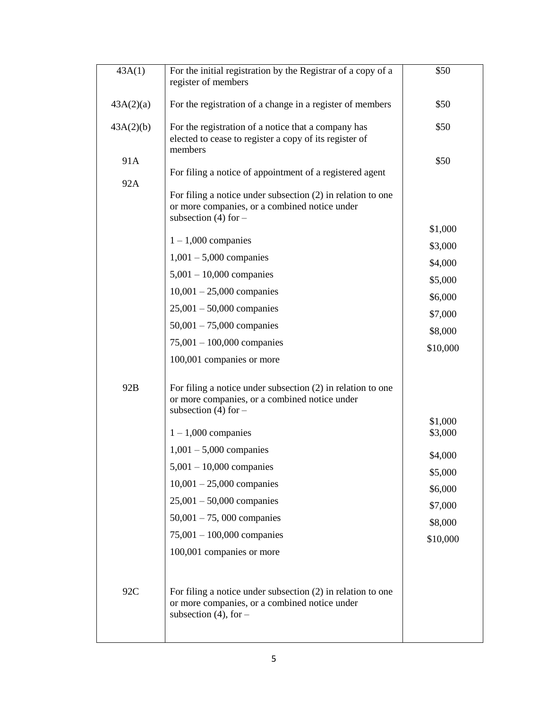| 43A(1)    | For the initial registration by the Registrar of a copy of a<br>register of members                                                        | \$50     |
|-----------|--------------------------------------------------------------------------------------------------------------------------------------------|----------|
| 43A(2)(a) | For the registration of a change in a register of members                                                                                  | \$50     |
| 43A(2)(b) | For the registration of a notice that a company has<br>elected to cease to register a copy of its register of                              | \$50     |
| 91A       | members                                                                                                                                    | \$50     |
| 92A       | For filing a notice of appointment of a registered agent                                                                                   |          |
|           | For filing a notice under subsection $(2)$ in relation to one<br>or more companies, or a combined notice under<br>subsection (4) for $-$   |          |
|           | $1 - 1,000$ companies                                                                                                                      | \$1,000  |
|           | $1,001 - 5,000$ companies                                                                                                                  | \$3,000  |
|           | $5,001 - 10,000$ companies                                                                                                                 | \$4,000  |
|           | $10,001 - 25,000$ companies                                                                                                                | \$5,000  |
|           | $25,001 - 50,000$ companies                                                                                                                | \$6,000  |
|           | $50,001 - 75,000$ companies                                                                                                                | \$7,000  |
|           | $75,001 - 100,000$ companies                                                                                                               | \$8,000  |
|           | 100,001 companies or more                                                                                                                  | \$10,000 |
| 92B       | For filing a notice under subsection $(2)$ in relation to one<br>or more companies, or a combined notice under<br>subsection (4) for $-$   |          |
|           |                                                                                                                                            | \$1,000  |
|           | $1 - 1,000$ companies                                                                                                                      | \$3,000  |
|           | $1,001 - 5,000$ companies<br>$5,001 - 10,000$ companies                                                                                    | \$4,000  |
|           | $10,001 - 25,000$ companies                                                                                                                | \$5,000  |
|           | $25,001 - 50,000$ companies                                                                                                                | \$6,000  |
|           | $50,001 - 75,000$ companies                                                                                                                | \$7,000  |
|           | $75,001 - 100,000$ companies                                                                                                               | \$8,000  |
|           | 100,001 companies or more                                                                                                                  | \$10,000 |
|           |                                                                                                                                            |          |
| 92C       | For filing a notice under subsection $(2)$ in relation to one<br>or more companies, or a combined notice under<br>subsection $(4)$ , for – |          |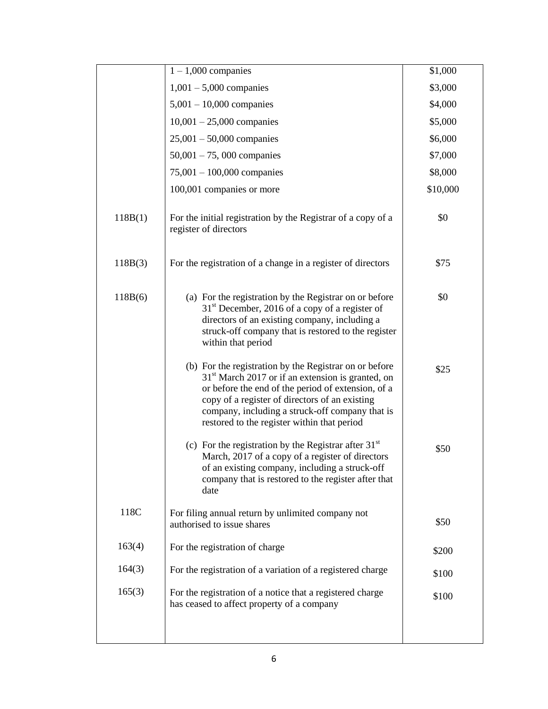|         | $1 - 1,000$ companies                                                                                                                                                                                                                                                                                                   | \$1,000  |
|---------|-------------------------------------------------------------------------------------------------------------------------------------------------------------------------------------------------------------------------------------------------------------------------------------------------------------------------|----------|
|         | $1,001 - 5,000$ companies                                                                                                                                                                                                                                                                                               | \$3,000  |
|         | $5,001 - 10,000$ companies                                                                                                                                                                                                                                                                                              | \$4,000  |
|         | $10,001 - 25,000$ companies                                                                                                                                                                                                                                                                                             | \$5,000  |
|         | $25,001 - 50,000$ companies                                                                                                                                                                                                                                                                                             | \$6,000  |
|         | $50,001 - 75,000$ companies                                                                                                                                                                                                                                                                                             | \$7,000  |
|         | $75,001 - 100,000$ companies                                                                                                                                                                                                                                                                                            | \$8,000  |
|         | 100,001 companies or more                                                                                                                                                                                                                                                                                               | \$10,000 |
| 118B(1) | For the initial registration by the Registrar of a copy of a<br>register of directors                                                                                                                                                                                                                                   | \$0      |
| 118B(3) | For the registration of a change in a register of directors                                                                                                                                                                                                                                                             | \$75     |
| 118B(6) | (a) For the registration by the Registrar on or before<br>$31st$ December, 2016 of a copy of a register of<br>directors of an existing company, including a<br>struck-off company that is restored to the register<br>within that period                                                                                | \$0      |
|         | (b) For the registration by the Registrar on or before<br>$31st$ March 2017 or if an extension is granted, on<br>or before the end of the period of extension, of a<br>copy of a register of directors of an existing<br>company, including a struck-off company that is<br>restored to the register within that period | \$25     |
|         | (c) For the registration by the Registrar after $31st$<br>March, 2017 of a copy of a register of directors<br>of an existing company, including a struck-off<br>company that is restored to the register after that<br>date                                                                                             | \$50     |
| 118C    | For filing annual return by unlimited company not<br>authorised to issue shares                                                                                                                                                                                                                                         | \$50     |
| 163(4)  | For the registration of charge                                                                                                                                                                                                                                                                                          | \$200    |
| 164(3)  | For the registration of a variation of a registered charge                                                                                                                                                                                                                                                              | \$100    |
| 165(3)  | For the registration of a notice that a registered charge<br>has ceased to affect property of a company                                                                                                                                                                                                                 | \$100    |
|         |                                                                                                                                                                                                                                                                                                                         |          |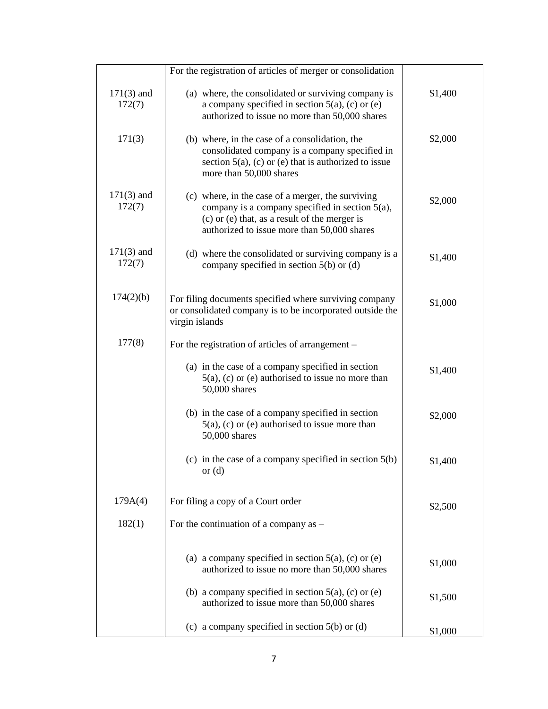|                        | For the registration of articles of merger or consolidation                                                                                                                                          |         |
|------------------------|------------------------------------------------------------------------------------------------------------------------------------------------------------------------------------------------------|---------|
| $171(3)$ and<br>172(7) | (a) where, the consolidated or surviving company is<br>a company specified in section $5(a)$ , (c) or (e)<br>authorized to issue no more than 50,000 shares                                          | \$1,400 |
| 171(3)                 | (b) where, in the case of a consolidation, the<br>consolidated company is a company specified in<br>section $5(a)$ , (c) or (e) that is authorized to issue<br>more than 50,000 shares               | \$2,000 |
| $171(3)$ and<br>172(7) | (c) where, in the case of a merger, the surviving<br>company is a company specified in section 5(a),<br>(c) or (e) that, as a result of the merger is<br>authorized to issue more than 50,000 shares | \$2,000 |
| $171(3)$ and<br>172(7) | (d) where the consolidated or surviving company is a<br>company specified in section $5(b)$ or $(d)$                                                                                                 | \$1,400 |
| 174(2)(b)              | For filing documents specified where surviving company<br>or consolidated company is to be incorporated outside the<br>virgin islands                                                                | \$1,000 |
| 177(8)                 | For the registration of articles of arrangement -                                                                                                                                                    |         |
|                        | (a) in the case of a company specified in section<br>$5(a)$ , (c) or (e) authorised to issue no more than<br>50,000 shares                                                                           | \$1,400 |
|                        | (b) in the case of a company specified in section<br>$5(a)$ , (c) or (e) authorised to issue more than<br>50,000 shares                                                                              | \$2,000 |
|                        | (c) in the case of a company specified in section $5(b)$<br>or $(d)$                                                                                                                                 | \$1,400 |
| 179A(4)                | For filing a copy of a Court order                                                                                                                                                                   | \$2,500 |
| 182(1)                 | For the continuation of a company as -                                                                                                                                                               |         |
|                        | (a) a company specified in section $5(a)$ , (c) or (e)<br>authorized to issue no more than 50,000 shares                                                                                             | \$1,000 |
|                        | (b) a company specified in section $5(a)$ , (c) or (e)<br>authorized to issue more than 50,000 shares                                                                                                | \$1,500 |
|                        | (c) a company specified in section $5(b)$ or (d)                                                                                                                                                     | \$1,000 |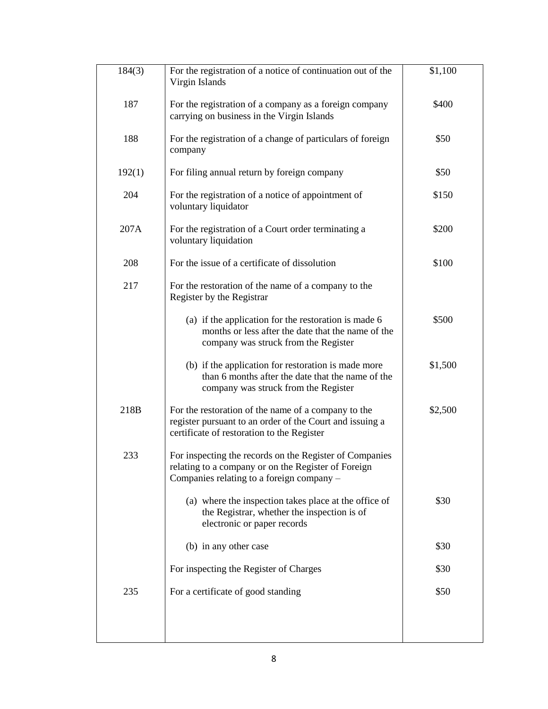| 184(3) | For the registration of a notice of continuation out of the<br>Virgin Islands                                                                                 | \$1,100 |
|--------|---------------------------------------------------------------------------------------------------------------------------------------------------------------|---------|
| 187    | For the registration of a company as a foreign company<br>carrying on business in the Virgin Islands                                                          | \$400   |
| 188    | For the registration of a change of particulars of foreign<br>company                                                                                         | \$50    |
| 192(1) | For filing annual return by foreign company                                                                                                                   | \$50    |
| 204    | For the registration of a notice of appointment of<br>voluntary liquidator                                                                                    | \$150   |
| 207A   | For the registration of a Court order terminating a<br>voluntary liquidation                                                                                  | \$200   |
| 208    | For the issue of a certificate of dissolution                                                                                                                 | \$100   |
| 217    | For the restoration of the name of a company to the<br>Register by the Registrar                                                                              |         |
|        | (a) if the application for the restoration is made 6<br>months or less after the date that the name of the<br>company was struck from the Register            | \$500   |
|        | (b) if the application for restoration is made more<br>than 6 months after the date that the name of the<br>company was struck from the Register              | \$1,500 |
| 218B   | For the restoration of the name of a company to the<br>register pursuant to an order of the Court and issuing a<br>certificate of restoration to the Register | \$2,500 |
| 233    | For inspecting the records on the Register of Companies<br>relating to a company or on the Register of Foreign<br>Companies relating to a foreign company -   |         |
|        | (a) where the inspection takes place at the office of<br>the Registrar, whether the inspection is of<br>electronic or paper records                           | \$30    |
|        | (b) in any other case                                                                                                                                         | \$30    |
|        | For inspecting the Register of Charges                                                                                                                        | \$30    |
| 235    | For a certificate of good standing                                                                                                                            | \$50    |
|        |                                                                                                                                                               |         |
|        |                                                                                                                                                               |         |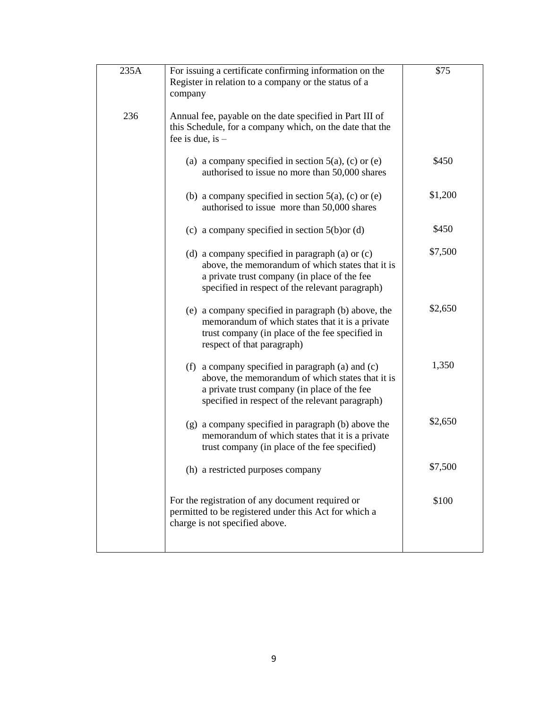| 235A | For issuing a certificate confirming information on the<br>Register in relation to a company or the status of a<br>company                                                                                  | \$75    |
|------|-------------------------------------------------------------------------------------------------------------------------------------------------------------------------------------------------------------|---------|
| 236  | Annual fee, payable on the date specified in Part III of<br>this Schedule, for a company which, on the date that the<br>fee is due, is $-$                                                                  |         |
|      | (a) a company specified in section $5(a)$ , (c) or (e)<br>authorised to issue no more than 50,000 shares                                                                                                    | \$450   |
|      | (b) a company specified in section $5(a)$ , (c) or (e)<br>authorised to issue more than 50,000 shares                                                                                                       | \$1,200 |
|      | (c) a company specified in section $5(b)$ or (d)                                                                                                                                                            | \$450   |
|      | (d) a company specified in paragraph (a) or $(c)$<br>above, the memorandum of which states that it is<br>a private trust company (in place of the fee<br>specified in respect of the relevant paragraph)    | \$7,500 |
|      | (e) a company specified in paragraph (b) above, the<br>memorandum of which states that it is a private<br>trust company (in place of the fee specified in<br>respect of that paragraph)                     | \$2,650 |
|      | (f) a company specified in paragraph $(a)$ and $(c)$<br>above, the memorandum of which states that it is<br>a private trust company (in place of the fee<br>specified in respect of the relevant paragraph) | 1,350   |
|      | (g) a company specified in paragraph (b) above the<br>memorandum of which states that it is a private<br>trust company (in place of the fee specified)                                                      | \$2,650 |
|      | (h) a restricted purposes company                                                                                                                                                                           | \$7,500 |
|      | For the registration of any document required or<br>permitted to be registered under this Act for which a<br>charge is not specified above.                                                                 | \$100   |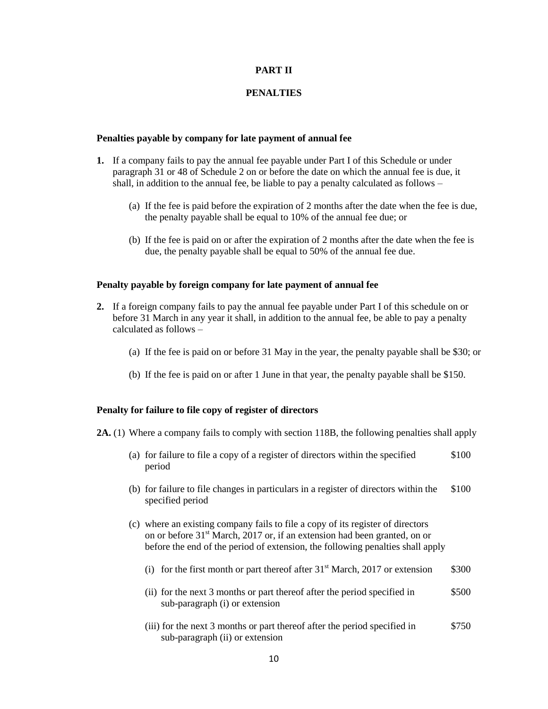### **PART II**

#### **PENALTIES**

#### **Penalties payable by company for late payment of annual fee**

- **1.** If a company fails to pay the annual fee payable under Part I of this Schedule or under paragraph 31 or 48 of Schedule 2 on or before the date on which the annual fee is due, it shall, in addition to the annual fee, be liable to pay a penalty calculated as follows –
	- (a) If the fee is paid before the expiration of 2 months after the date when the fee is due, the penalty payable shall be equal to 10% of the annual fee due; or
	- (b) If the fee is paid on or after the expiration of 2 months after the date when the fee is due, the penalty payable shall be equal to 50% of the annual fee due.

#### **Penalty payable by foreign company for late payment of annual fee**

- **2.** If a foreign company fails to pay the annual fee payable under Part I of this schedule on or before 31 March in any year it shall, in addition to the annual fee, be able to pay a penalty calculated as follows –
	- (a) If the fee is paid on or before 31 May in the year, the penalty payable shall be \$30; or
	- (b) If the fee is paid on or after 1 June in that year, the penalty payable shall be \$150.

#### **Penalty for failure to file copy of register of directors**

- **2A.** (1) Where a company fails to comply with section 118B, the following penalties shall apply
	- (a) for failure to file a copy of a register of directors within the specified \$100 period
	- (b) for failure to file changes in particulars in a register of directors within the \$100 specified period
	- (c) where an existing company fails to file a copy of its register of directors on or before 31<sup>st</sup> March, 2017 or, if an extension had been granted, on or before the end of the period of extension, the following penalties shall apply
		- (i) for the first month or part thereof after  $31<sup>st</sup>$  March, 2017 or extension \$300
		- (ii) for the next 3 months or part thereof after the period specified in \$500 sub-paragraph (i) or extension
		- (iii) for the next 3 months or part thereof after the period specified in \$750 sub-paragraph (ii) or extension